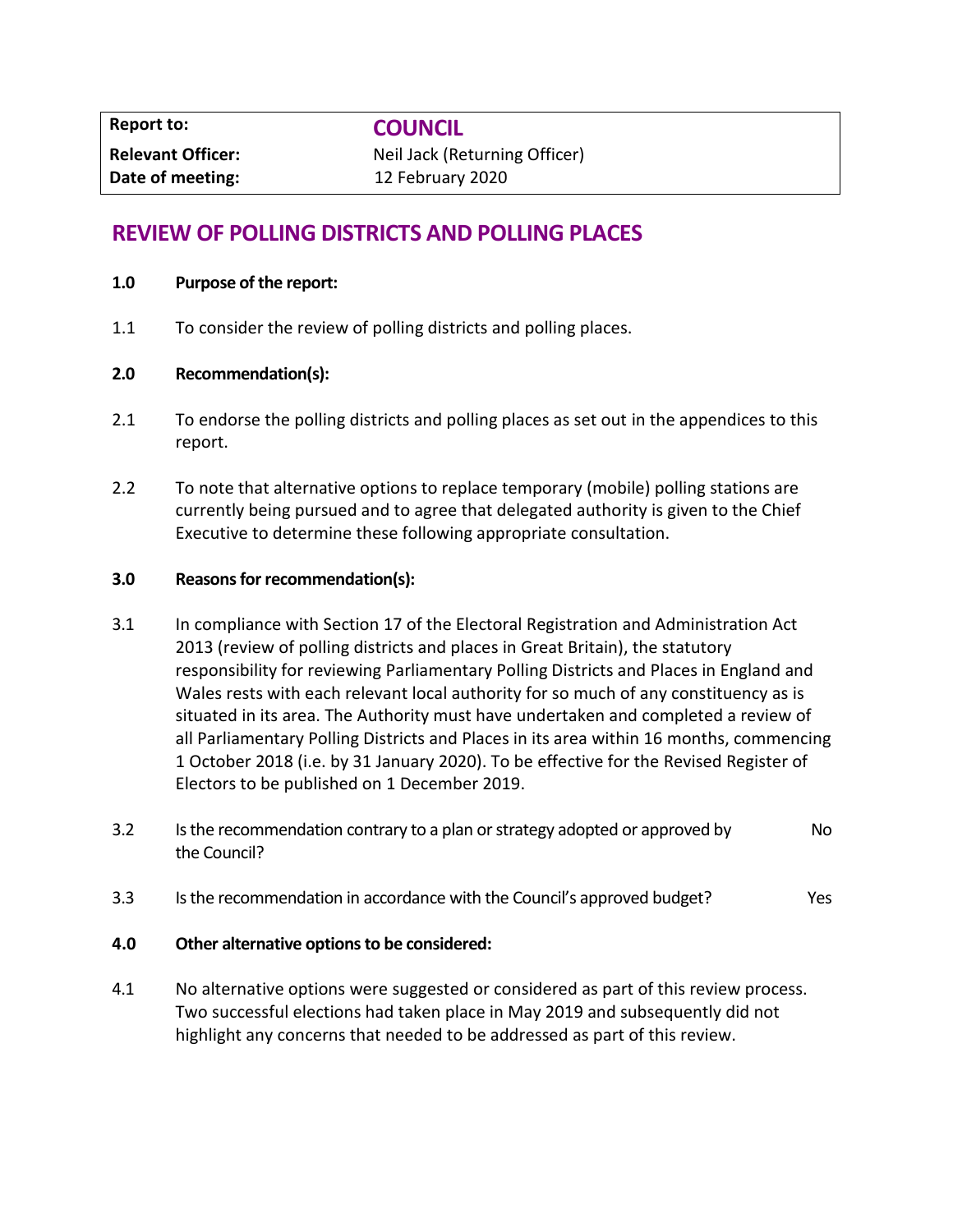**Report to: COUNCIL**

**Relevant Officer:** Neil Jack (Returning Officer) **Date of meeting:** 12 February 2020

# **REVIEW OF POLLING DISTRICTS AND POLLING PLACES**

#### **1.0 Purpose of the report:**

1.1 To consider the review of polling districts and polling places.

#### **2.0 Recommendation(s):**

- 2.1 To endorse the polling districts and polling places as set out in the appendices to this report.
- 2.2 To note that alternative options to replace temporary (mobile) polling stations are currently being pursued and to agree that delegated authority is given to the Chief Executive to determine these following appropriate consultation.

#### **3.0 Reasons for recommendation(s):**

- 3.1 In compliance with Section 17 of the Electoral Registration and Administration Act 2013 (review of polling districts and places in Great Britain), the statutory responsibility for reviewing Parliamentary Polling Districts and Places in England and Wales rests with each relevant local authority for so much of any constituency as is situated in its area. The Authority must have undertaken and completed a review of all Parliamentary Polling Districts and Places in its area within 16 months, commencing 1 October 2018 (i.e. by 31 January 2020). To be effective for the Revised Register of Electors to be published on 1 December 2019.
- 3.2 Is the recommendation contrary to a plan or strategy adopted or approved by the Council? No
- 3.3 Is the recommendation in accordance with the Council's approved budget? Yes

#### **4.0 Other alternative options to be considered:**

4.1 No alternative options were suggested or considered as part of this review process. Two successful elections had taken place in May 2019 and subsequently did not highlight any concerns that needed to be addressed as part of this review.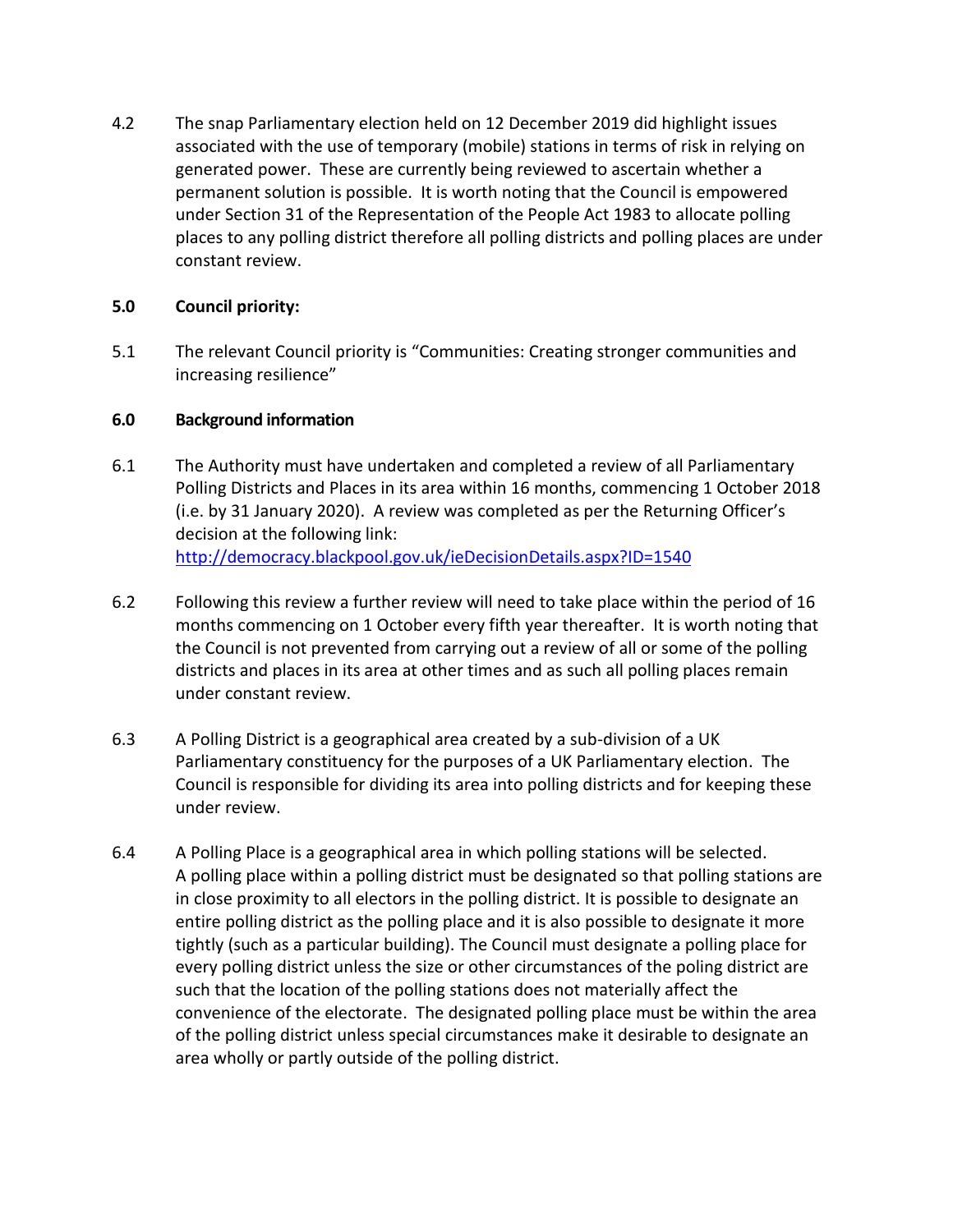4.2 The snap Parliamentary election held on 12 December 2019 did highlight issues associated with the use of temporary (mobile) stations in terms of risk in relying on generated power. These are currently being reviewed to ascertain whether a permanent solution is possible. It is worth noting that the Council is empowered under Section 31 of the Representation of the People Act 1983 to allocate polling places to any polling district therefore all polling districts and polling places are under constant review.

## **5.0 Council priority:**

5.1 The relevant Council priority is "Communities: Creating stronger communities and increasing resilience"

## **6.0 Background information**

- 6.1 The Authority must have undertaken and completed a review of all Parliamentary Polling Districts and Places in its area within 16 months, commencing 1 October 2018 (i.e. by 31 January 2020). A review was completed as per the Returning Officer's decision at the following link: <http://democracy.blackpool.gov.uk/ieDecisionDetails.aspx?ID=1540>
- 6.2 Following this review a further review will need to take place within the period of 16 months commencing on 1 October every fifth year thereafter. It is worth noting that the Council is not prevented from carrying out a review of all or some of the polling districts and places in its area at other times and as such all polling places remain under constant review.
- 6.3 A Polling District is a geographical area created by a sub-division of a UK Parliamentary constituency for the purposes of a UK Parliamentary election. The Council is responsible for dividing its area into polling districts and for keeping these under review.
- 6.4 A Polling Place is a geographical area in which polling stations will be selected. A polling place within a polling district must be designated so that polling stations are in close proximity to all electors in the polling district. It is possible to designate an entire polling district as the polling place and it is also possible to designate it more tightly (such as a particular building). The Council must designate a polling place for every polling district unless the size or other circumstances of the poling district are such that the location of the polling stations does not materially affect the convenience of the electorate. The designated polling place must be within the area of the polling district unless special circumstances make it desirable to designate an area wholly or partly outside of the polling district.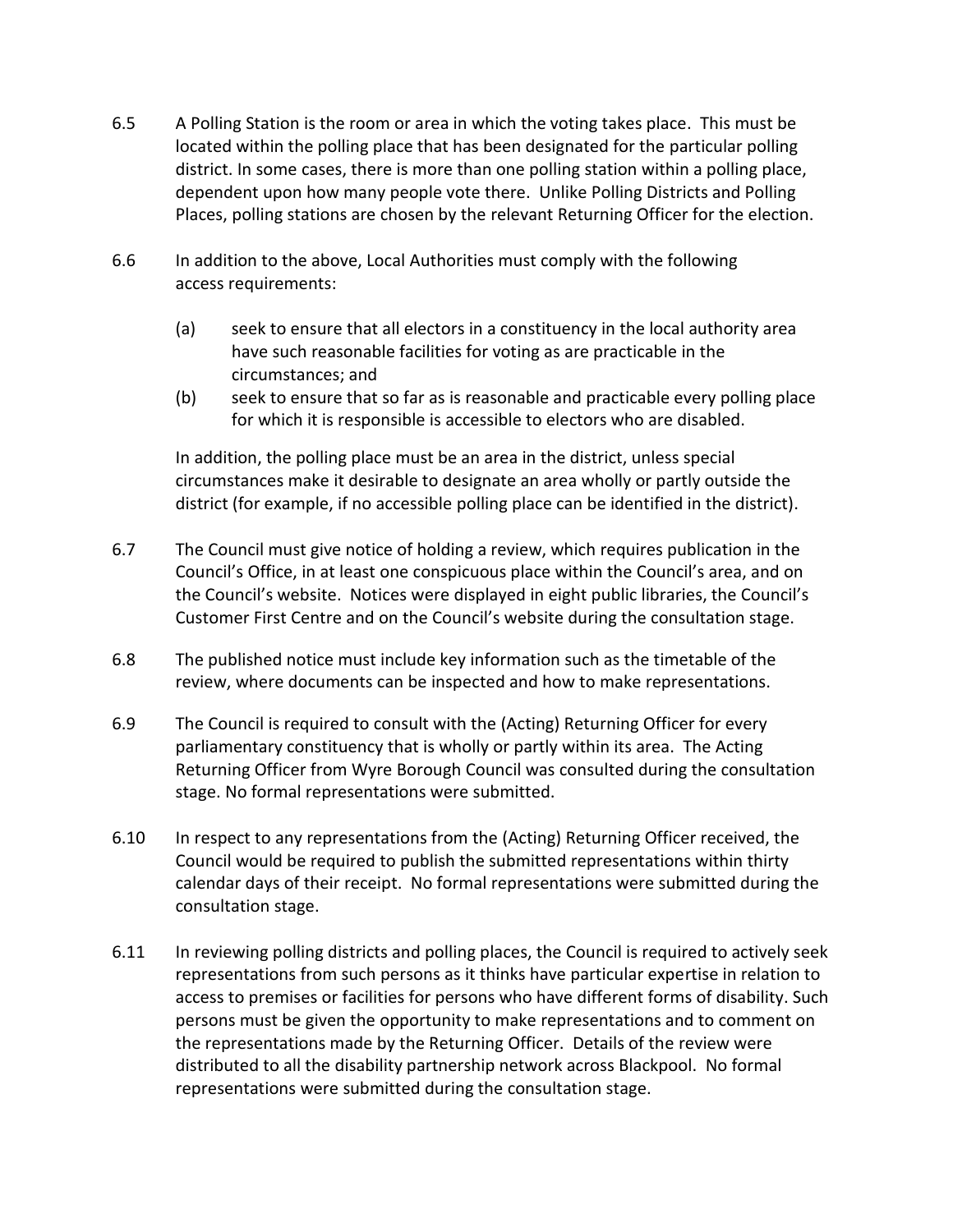- 6.5 A Polling Station is the room or area in which the voting takes place. This must be located within the polling place that has been designated for the particular polling district. In some cases, there is more than one polling station within a polling place, dependent upon how many people vote there. Unlike Polling Districts and Polling Places, polling stations are chosen by the relevant Returning Officer for the election.
- 6.6 In addition to the above, Local Authorities must comply with the following access requirements:
	- (a) seek to ensure that all electors in a constituency in the local authority area have such reasonable facilities for voting as are practicable in the circumstances; and
	- (b) seek to ensure that so far as is reasonable and practicable every polling place for which it is responsible is accessible to electors who are disabled.

In addition, the polling place must be an area in the district, unless special circumstances make it desirable to designate an area wholly or partly outside the district (for example, if no accessible polling place can be identified in the district).

- 6.7 The Council must give notice of holding a review, which requires publication in the Council's Office, in at least one conspicuous place within the Council's area, and on the Council's website. Notices were displayed in eight public libraries, the Council's Customer First Centre and on the Council's website during the consultation stage.
- 6.8 The published notice must include key information such as the timetable of the review, where documents can be inspected and how to make representations.
- 6.9 The Council is required to consult with the (Acting) Returning Officer for every parliamentary constituency that is wholly or partly within its area. The Acting Returning Officer from Wyre Borough Council was consulted during the consultation stage. No formal representations were submitted.
- 6.10 In respect to any representations from the (Acting) Returning Officer received, the Council would be required to publish the submitted representations within thirty calendar days of their receipt. No formal representations were submitted during the consultation stage.
- 6.11 In reviewing polling districts and polling places, the Council is required to actively seek representations from such persons as it thinks have particular expertise in relation to access to premises or facilities for persons who have different forms of disability. Such persons must be given the opportunity to make representations and to comment on the representations made by the Returning Officer. Details of the review were distributed to all the disability partnership network across Blackpool. No formal representations were submitted during the consultation stage.